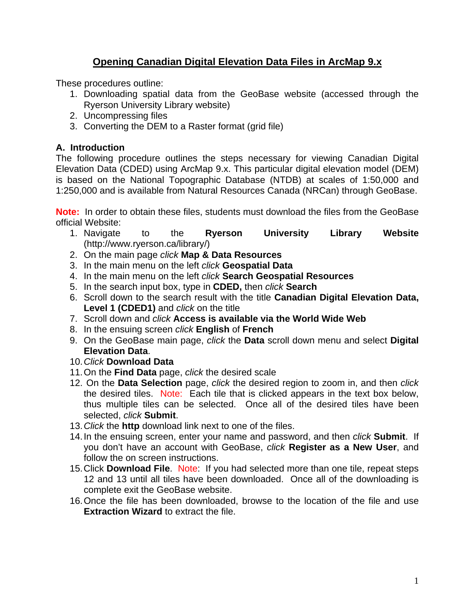# **Opening Canadian Digital Elevation Data Files in ArcMap 9.x**

These procedures outline:

- 1. Downloading spatial data from the GeoBase website (accessed through the Ryerson University Library website)
- 2. Uncompressing files
- 3. Converting the DEM to a Raster format (grid file)

# **A. Introduction**

The following procedure outlines the steps necessary for viewing Canadian Digital Elevation Data (CDED) using ArcMap 9.x. This particular digital elevation model (DEM) is based on the National Topographic Database (NTDB) at scales of 1:50,000 and 1:250,000 and is available from Natural Resources Canada (NRCan) through GeoBase.

**Note:** In order to obtain these files, students must download the files from the GeoBase official Website:

- 1. Navigate to the **Ryerson University Library Website** (http://www.ryerson.ca/library/)
- 2. On the main page *click* **Map & Data Resources**
- 3. In the main menu on the left *click* **Geospatial Data**
- 4. In the main menu on the left *click* **Search Geospatial Resources**
- 5. In the search input box, type in **CDED,** then *click* **Search**
- 6. Scroll down to the search result with the title **Canadian Digital Elevation Data, Level 1 (CDED1)** and *click* on the title
- 7. Scroll down and *click* **Access is available via the World Wide Web**
- 8. In the ensuing screen *click* **English** of **French**
- 9. On the GeoBase main page, *click* the **Data** scroll down menu and select **Digital Elevation Data**.
- 10. *Click* **Download Data**
- 11. On the **Find Data** page, *click* the desired scale
- 12. On the **Data Selection** page, *click* the desired region to zoom in, and then *click* the desired tiles. Note: Each tile that is clicked appears in the text box below, thus multiple tiles can be selected. Once all of the desired tiles have been selected, *click* **Submit**.
- 13. *Click* the **http** download link next to one of the files.
- 14. In the ensuing screen, enter your name and password, and then *click* **Submit**. If you don't have an account with GeoBase, *click* **Register as a New User**, and follow the on screen instructions.
- 15. Click **Download File**. Note: If you had selected more than one tile, repeat steps 12 and 13 until all tiles have been downloaded. Once all of the downloading is complete exit the GeoBase website.
- 16. Once the file has been downloaded, browse to the location of the file and use **Extraction Wizard** to extract the file.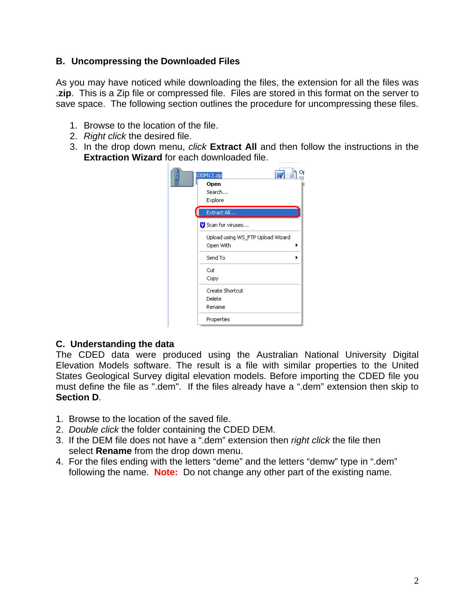### **B. Uncompressing the Downloaded Files**

As you may have noticed while downloading the files, the extension for all the files was .**zip**. This is a Zip file or compressed file. Files are stored in this format on the server to save space. The following section outlines the procedure for uncompressing these files.

- 1. Browse to the location of the file.
- 2. *Right click* the desired file.
- 3. In the drop down menu, *click* **Extract All** and then follow the instructions in the **Extraction Wizard** for each downloaded file.

| <b>TAV</b><br>030M13.zip<br>Open<br>Search<br>Explore |  |
|-------------------------------------------------------|--|
| Extract All                                           |  |
| Scan for viruses                                      |  |
| Upload using WS_FTP Upload Wizard<br>Open With        |  |
| Send To                                               |  |
| Cut<br>Copy                                           |  |
| Create Shortcut<br>Delete                             |  |
| Rename                                                |  |
| Properties                                            |  |

# **C. Understanding the data**

The CDED data were produced using the Australian National University Digital Elevation Models software. The result is a file with similar properties to the United States Geological Survey digital elevation models. Before importing the CDED file you must define the file as ".dem". If the files already have a ".dem" extension then skip to **Section D**.

- 1. Browse to the location of the saved file.
- 2. *Double click* the folder containing the CDED DEM.
- 3. If the DEM file does not have a ".dem" extension then *right click* the file then select **Rename** from the drop down menu.
- 4. For the files ending with the letters "deme" and the letters "demw" type in ".dem" following the name. **Note:** Do not change any other part of the existing name.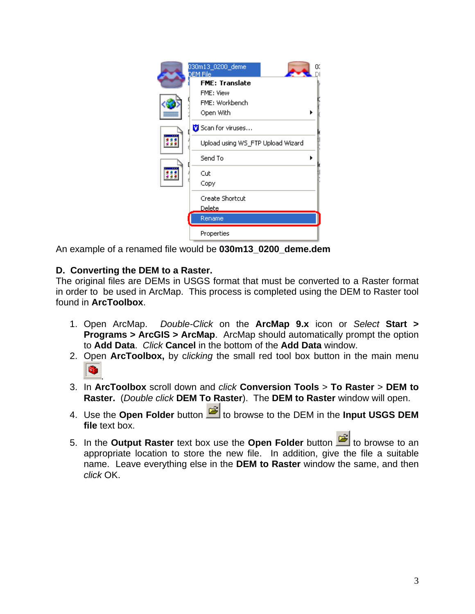

An example of a renamed file would be **030m13\_0200\_deme.dem**

# **D. Converting the DEM to a Raster.**

The original files are DEMs in USGS format that must be converted to a Raster format in order to be used in ArcMap. This process is completed using the DEM to Raster tool found in **ArcToolbox**.

- 1. Open ArcMap. *Double-Click* on the **ArcMap 9.x** icon or *Select* **Start > Programs > ArcGIS > ArcMap**. ArcMap should automatically prompt the option to **Add Data**. *Click* **Cancel** in the bottom of the **Add Data** window.
- 2. Open **ArcToolbox,** by c*licking* the small red tool box button in the main menu .
- 3. In **ArcToolbox** scroll down and *click* **Conversion Tools** > **To Raster** > **DEM to Raster.** (*Double click* **DEM To Raster**). The **DEM to Raster** window will open.
- 4. Use the **Open Folder** button **in the DEM** in the **Input USGS DEM file** text box.
- 5. In the **Output Raster** text box use the **Open Folder** button **the browse** to an appropriate location to store the new file. In addition, give the file a suitable name. Leave everything else in the **DEM to Raster** window the same, and then *click* OK.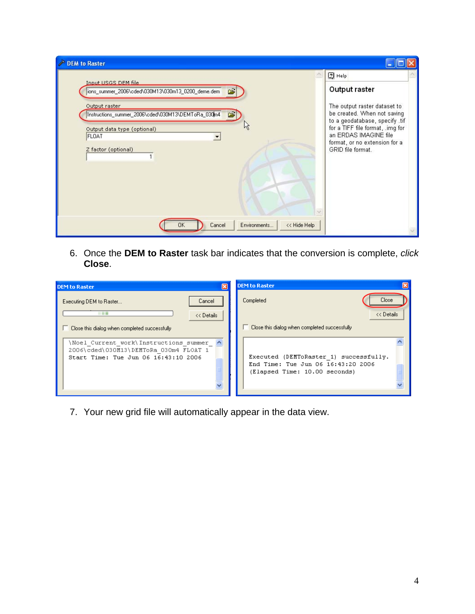| <b>DEM to Raster</b>                                                                                             |                                                                                                                                                                                             |  |
|------------------------------------------------------------------------------------------------------------------|---------------------------------------------------------------------------------------------------------------------------------------------------------------------------------------------|--|
| Input USGS DEM file                                                                                              | $2$ Help                                                                                                                                                                                    |  |
| ions_summer_2006\cded\030M13\030m13_0200_deme.dem  <br>$\sim$                                                    | Output raster                                                                                                                                                                               |  |
| Output raster<br>Instructions_summer_2006\cded\030M13\DEMToRa_030m4<br>G<br>Output data type (optional)<br>FLOAT | The output raster dataset to<br>be created. When not saving<br>to a geodatabase, specify .tif<br>for a TIFF file format, .img for<br>an ERDAS IMAGINE file<br>format, or no extension for a |  |
| Z factor (optional)                                                                                              | GRID file format.                                                                                                                                                                           |  |
| << Hide Help<br>Cancel<br>Environments<br>0K                                                                     |                                                                                                                                                                                             |  |

6. Once the **DEM to Raster** task bar indicates that the conversion is complete, *click* **Close**.

| <b>DEM to Raster</b>                                                                                                    | <b>DEM to Raster</b>                                                                                          |
|-------------------------------------------------------------------------------------------------------------------------|---------------------------------------------------------------------------------------------------------------|
| Cancel<br>Executing DEM to Raster<br>- - -<br><< Details<br>Close this dialog when completed successfully               | Close<br>Completed<br><< Details<br>Close this dialog when completed successfully                             |
| Noel Current work\Instructions summer<br>2006\cded\030M13\DEMToRa 030m4 FLOAT 1<br>Start Time: Tue Jun 06 16:43:10 2006 | Executed (DEMToRaster 1) successfully.<br>End Time: Tue Jun 06 16:43:20 2006<br>(Elapsed Time: 10.00 seconds) |

7. Your new grid file will automatically appear in the data view.